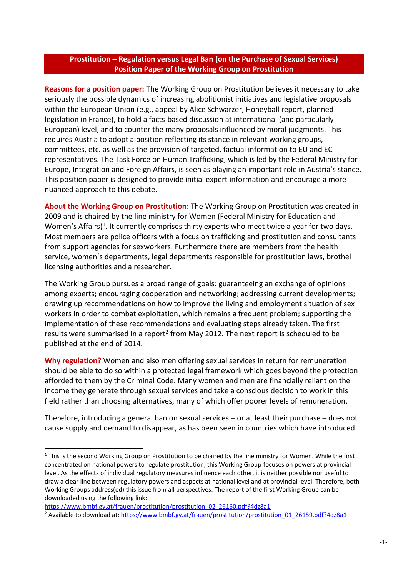## **Prostitution – Regulation versus Legal Ban (on the Purchase of Sexual Services) Position Paper of the Working Group on Prostitution**

**Reasons for a position paper:** The Working Group on Prostitution believes it necessary to take seriously the possible dynamics of increasing abolitionist initiatives and legislative proposals within the European Union (e.g., appeal by Alice Schwarzer, Honeyball report, planned legislation in France), to hold a facts-based discussion at international (and particularly European) level, and to counter the many proposals influenced by moral judgments. This requires Austria to adopt a position reflecting its stance in relevant working groups, committees, etc. as well as the provision of targeted, factual information to EU and EC representatives. The Task Force on Human Trafficking, which is led by the Federal Ministry for Europe, Integration and Foreign Affairs, is seen as playing an important role in Austria's stance. This position paper is designed to provide initial expert information and encourage a more nuanced approach to this debate.

**About the Working Group on Prostitution:** The Working Group on Prostitution was created in 2009 and is chaired by the line ministry for Women (Federal Ministry for Education and Women's Affairs)<sup>1</sup>. It currently comprises thirty experts who meet twice a year for two days. Most members are police officers with a focus on trafficking and prostitution and consultants from support agencies for sexworkers. Furthermore there are members from the health service, women´s departments, legal departments responsible for prostitution laws, brothel licensing authorities and a researcher.

The Working Group pursues a broad range of goals: guaranteeing an exchange of opinions among experts; encouraging cooperation and networking; addressing current developments; drawing up recommendations on how to improve the living and employment situation of sex workers in order to combat exploitation, which remains a frequent problem; supporting the implementation of these recommendations and evaluating steps already taken. The first results were summarised in a report<sup>2</sup> from May 2012. The next report is scheduled to be published at the end of 2014.

**Why regulation?** Women and also men offering sexual services in return for remuneration should be able to do so within a protected legal framework which goes beyond the protection afforded to them by the Criminal Code. Many women and men are financially reliant on the income they generate through sexual services and take a conscious decision to work in this field rather than choosing alternatives, many of which offer poorer levels of remuneration.

Therefore, introducing a general ban on sexual services – or at least their purchase – does not cause supply and demand to disappear, as has been seen in countries which have introduced

 $\overline{a}$ 

 $1$  This is the second Working Group on Prostitution to be chaired by the line ministry for Women. While the first concentrated on national powers to regulate prostitution, this Working Group focuses on powers at provincial level. As the effects of individual regulatory measures influence each other, it is neither possible nor useful to draw a clear line between regulatory powers and aspects at national level and at provincial level. Therefore, both Working Groups address(ed) this issue from all perspectives. The report of the first Working Group can be downloaded using the following link:

[https://www.bmbf.gv.at/frauen/prostitution/prostitution\\_02\\_26160.pdf?4dz8a1](https://www.bmbf.gv.at/frauen/prostitution/prostitution_02_26160.pdf?4dz8a1)

<sup>&</sup>lt;sup>2</sup> Available to download at: [https://www.bmbf.gv.at/frauen/prostitution/prostitution\\_01\\_26159.pdf?4dz8a1](https://www.bmbf.gv.at/frauen/prostitution/prostitution_01_26159.pdf?4dz8a1)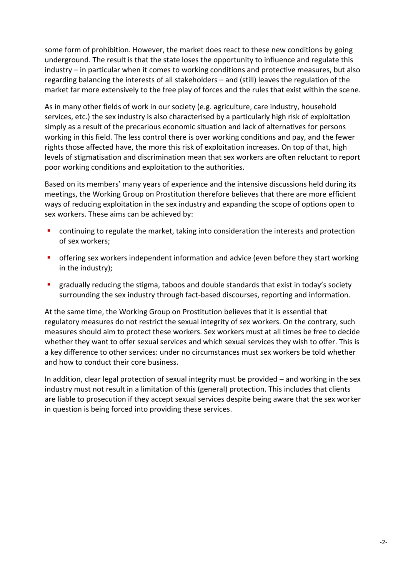some form of prohibition. However, the market does react to these new conditions by going underground. The result is that the state loses the opportunity to influence and regulate this industry – in particular when it comes to working conditions and protective measures, but also regarding balancing the interests of all stakeholders – and (still) leaves the regulation of the market far more extensively to the free play of forces and the rules that exist within the scene.

As in many other fields of work in our society (e.g. agriculture, care industry, household services, etc.) the sex industry is also characterised by a particularly high risk of exploitation simply as a result of the precarious economic situation and lack of alternatives for persons working in this field. The less control there is over working conditions and pay, and the fewer rights those affected have, the more this risk of exploitation increases. On top of that, high levels of stigmatisation and discrimination mean that sex workers are often reluctant to report poor working conditions and exploitation to the authorities.

Based on its members' many years of experience and the intensive discussions held during its meetings, the Working Group on Prostitution therefore believes that there are more efficient ways of reducing exploitation in the sex industry and expanding the scope of options open to sex workers. These aims can be achieved by:

- continuing to regulate the market, taking into consideration the interests and protection of sex workers;
- offering sex workers independent information and advice (even before they start working in the industry);
- gradually reducing the stigma, taboos and double standards that exist in today's society surrounding the sex industry through fact-based discourses, reporting and information.

At the same time, the Working Group on Prostitution believes that it is essential that regulatory measures do not restrict the sexual integrity of sex workers. On the contrary, such measures should aim to protect these workers. Sex workers must at all times be free to decide whether they want to offer sexual services and which sexual services they wish to offer. This is a key difference to other services: under no circumstances must sex workers be told whether and how to conduct their core business.

In addition, clear legal protection of sexual integrity must be provided – and working in the sex industry must not result in a limitation of this (general) protection. This includes that clients are liable to prosecution if they accept sexual services despite being aware that the sex worker in question is being forced into providing these services.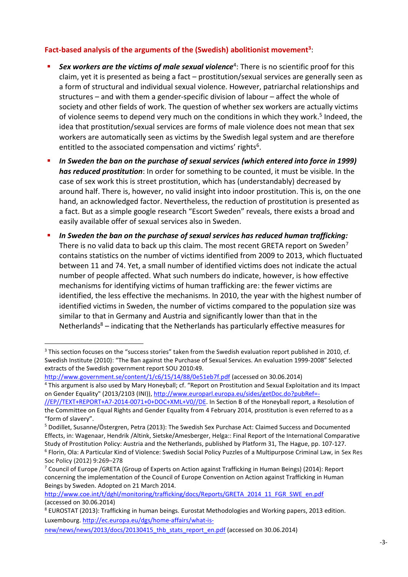## **Fact-based analysis of the arguments of the (Swedish) abolitionist movement<sup>3</sup>** :

- **Sex workers are the victims of male sexual violence<sup>4</sup>: There is no scientific proof for this** claim, yet it is presented as being a fact – prostitution/sexual services are generally seen as a form of structural and individual sexual violence. However, patriarchal relationships and structures – and with them a gender-specific division of labour – affect the whole of society and other fields of work. The question of whether sex workers are actually victims of violence seems to depend very much on the conditions in which they work. 5 Indeed, the idea that prostitution/sexual services are forms of male violence does not mean that sex workers are automatically seen as victims by the Swedish legal system and are therefore entitled to the associated compensation and victims' rights<sup>6</sup>.
- **In Sweden the ban on the purchase of sexual services (which entered into force in 1999)** *has reduced prostitution*: In order for something to be counted, it must be visible. In the case of sex work this is street prostitution, which has (understandably) decreased by around half. There is, however, no valid insight into indoor prostitution. This is, on the one hand, an acknowledged factor. Nevertheless, the reduction of prostitution is presented as a fact. But as a simple google research "Escort Sweden" reveals, there exists a broad and easily available offer of sexual services also in Sweden.
- *In Sweden the ban on the purchase of sexual services has reduced human trafficking:*  There is no valid data to back up this claim. The most recent GRETA report on Sweden<sup>7</sup> contains statistics on the number of victims identified from 2009 to 2013, which fluctuated between 11 and 74. Yet, a small number of identified victims does not indicate the actual number of people affected. What such numbers do indicate, however, is how effective mechanisms for identifying victims of human trafficking are: the fewer victims are identified, the less effective the mechanisms. In 2010, the year with the highest number of identified victims in Sweden, the number of victims compared to the population size was similar to that in Germany and Austria and significantly lower than that in the Netherlands $8$  – indicating that the Netherlands has particularly effective measures for

 $\overline{a}$ <sup>3</sup> This section focuses on the "success stories" taken from the Swedish evaluation report published in 2010, cf. Swedish Institute (2010): "The Ban against the Purchase of Sexual Services. An evaluation 1999-2008" Selected extracts of the Swedish government report SOU 2010:49.

<http://www.government.se/content/1/c6/15/14/88/0e51eb7f.pdf> (accessed on 30.06.2014)

<sup>4</sup> This argument is also used by Mary Honeyball; cf. "Report on Prostitution and Sexual Exploitation and its Impact on Gender Equality" (2013/2103 (INI))[, http://www.europarl.europa.eu/sides/getDoc.do?pubRef=-](http://www.europarl.europa.eu/sides/getDoc.do?pubRef=-//EP//TEXT+REPORT+A7-2014-0071+0+DOC+XML+V0//DE)

[<sup>//</sup>EP//TEXT+REPORT+A7-2014-0071+0+DOC+XML+V0//DE.](http://www.europarl.europa.eu/sides/getDoc.do?pubRef=-//EP//TEXT+REPORT+A7-2014-0071+0+DOC+XML+V0//DE) In Section B of the Honeyball report, a Resolution of the Committee on Equal Rights and Gender Equality from 4 February 2014, prostitution is even referred to as a "form of slavery".

<sup>5</sup> Dodillet, Susanne/Östergren, Petra (2013): The Swedish Sex Purchase Act: Claimed Success and Documented Effects, in: Wagenaar, Hendrik /Altink, Sietske/Amesberger, Helga:: Final Report of the International Comparative Study of Prostitution Policy: Austria and the Netherlands, published by Platform 31, The Hague, pp. 107-127. 6 Florin, Ola: A Particular Kind of Violence: Swedish Social Policy Puzzles of a Multipurpose Criminal Law, in Sex Res Soc Policy (2012) 9:269–278

<sup>&</sup>lt;sup>7</sup> Council of Europe /GRETA (Group of Experts on Action against Trafficking in Human Beings) (2014): Report concerning the implementation of the Council of Europe Convention on Action against Trafficking in Human Beings by Sweden. Adopted on 21 March 2014.

[http://www.coe.int/t/dghl/monitoring/trafficking/docs/Reports/GRETA\\_2014\\_11\\_FGR\\_SWE\\_en.pdf](http://www.coe.int/t/dghl/monitoring/trafficking/docs/Reports/GRETA_2014_11_FGR_SWE_en.pdf) (accessed on 30.06.2014)

<sup>8</sup> EUROSTAT (2013): Trafficking in human beings. Eurostat Methodologies and Working papers, 2013 edition. Luxembourg[. http://ec.europa.eu/dgs/home-affairs/what-is-](http://ec.europa.eu/dgs/home-affairs/what-is-new/news/news/2013/docs/20130415_thb_stats_report_en.pdf)

[new/news/news/2013/docs/20130415\\_thb\\_stats\\_report\\_en.pdf](http://ec.europa.eu/dgs/home-affairs/what-is-new/news/news/2013/docs/20130415_thb_stats_report_en.pdf) (accessed on 30.06.2014)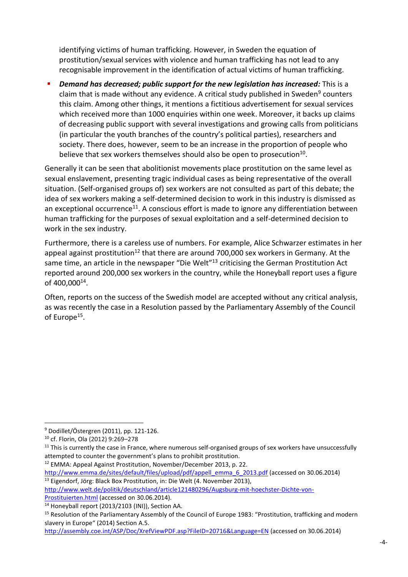identifying victims of human trafficking. However, in Sweden the equation of prostitution/sexual services with violence and human trafficking has not lead to any recognisable improvement in the identification of actual victims of human trafficking.

 *Demand has decreased; public support for the new legislation has increased:* This is a claim that is made without any evidence. A critical study published in Sweden<sup>9</sup> counters this claim. Among other things, it mentions a fictitious advertisement for sexual services which received more than 1000 enquiries within one week. Moreover, it backs up claims of decreasing public support with several investigations and growing calls from politicians (in particular the youth branches of the country's political parties), researchers and society. There does, however, seem to be an increase in the proportion of people who believe that sex workers themselves should also be open to prosecution<sup>10</sup>.

Generally it can be seen that abolitionist movements place prostitution on the same level as sexual enslavement, presenting tragic individual cases as being representative of the overall situation. (Self-organised groups of) sex workers are not consulted as part of this debate; the idea of sex workers making a self-determined decision to work in this industry is dismissed as an exceptional occurrence<sup>11</sup>. A conscious effort is made to ignore any differentiation between human trafficking for the purposes of sexual exploitation and a self-determined decision to work in the sex industry.

Furthermore, there is a careless use of numbers. For example, Alice Schwarzer estimates in her appeal against prostitution<sup>12</sup> that there are around 700,000 sex workers in Germany. At the same time, an article in the newspaper "Die Welt"<sup>13</sup> criticising the German Prostitution Act reported around 200,000 sex workers in the country, while the Honeyball report uses a figure of 400,000<sup>14</sup> .

Often, reports on the success of the Swedish model are accepted without any critical analysis, as was recently the case in a Resolution passed by the Parliamentary Assembly of the Council of Europe<sup>15</sup>.

 $\overline{a}$ 

[http://www.emma.de/sites/default/files/upload/pdf/appell\\_emma\\_6\\_2013.pdf](http://www.emma.de/sites/default/files/upload/pdf/appell_emma_6_2013.pdf) (accessed on 30.06.2014) <sup>13</sup> Eigendorf, Jörg: Black Box Prostitution, in: Die Welt (4. November 2013),

[http://www.welt.de/politik/deutschland/article121480296/Augsburg-mit-hoechster-Dichte-von-](http://www.welt.de/politik/deutschland/article121480296/Augsburg-mit-hoechster-Dichte-von-Prostituierten.html)

[Prostituierten.html](http://www.welt.de/politik/deutschland/article121480296/Augsburg-mit-hoechster-Dichte-von-Prostituierten.html) (accessed on 30.06.2014).

<sup>9</sup> Dodillet/Östergren (2011), pp. 121-126.

<sup>10</sup> cf. Florin, Ola (2012) 9:269–278

 $11$  This is currently the case in France, where numerous self-organised groups of sex workers have unsuccessfully attempted to counter the government's plans to prohibit prostitution.

<sup>12</sup> EMMA: Appeal Against Prostitution, November/December 2013, p. 22.

<sup>14</sup> Honeyball report (2013/2103 (INI)), Section AA.

<sup>&</sup>lt;sup>15</sup> Resolution of the Parliamentary Assembly of the Council of Europe 1983: "Prostitution, trafficking and modern slavery in Europe" (2014) Section A.5.

<http://assembly.coe.int/ASP/Doc/XrefViewPDF.asp?FileID=20716&Language=EN> (accessed on 30.06.2014)